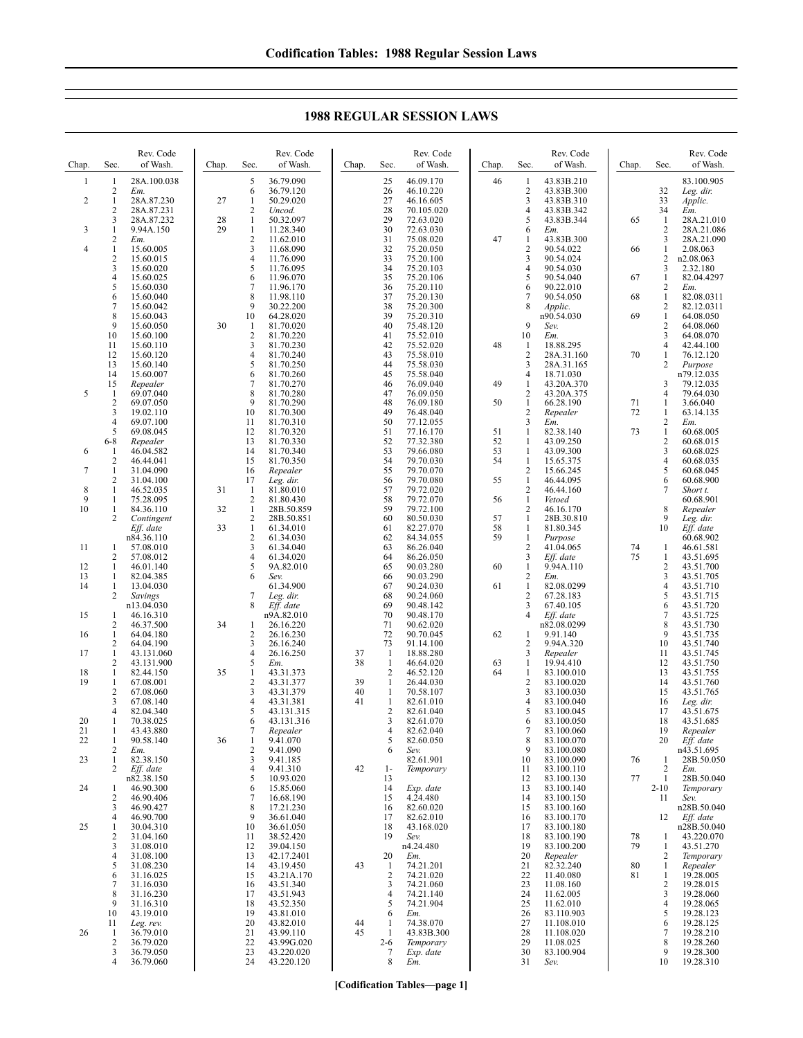**1988 REGULAR SESSION LAWS**

| Chap.        | Sec.                           | Rev. Code<br>of Wash.   | Chap.    | Sec.                           | Rev. Code<br>of Wash.    | Chap.    | Sec.                           | Rev. Code<br>of Wash.   | Chap.    | Sec.                             | Rev. Code<br>of Wash.    | Chap.    | Sec.                             | Rev. Code<br>of Wash.    |
|--------------|--------------------------------|-------------------------|----------|--------------------------------|--------------------------|----------|--------------------------------|-------------------------|----------|----------------------------------|--------------------------|----------|----------------------------------|--------------------------|
| $\mathbf{1}$ | $\mathbf{1}$                   | 28A.100.038             |          | 5                              | 36.79.090                |          | 25                             | 46.09.170               | 46       | $\mathbf{1}$                     | 43.83B.210               |          |                                  | 83.100.905               |
| 2            | 2<br>$\mathbf{1}$              | Em.<br>28A.87.230       | 27       | 6<br>-1                        | 36.79.120<br>50.29.020   |          | 26<br>27                       | 46.10.220<br>46.16.605  |          | $\overline{c}$<br>$\mathfrak{Z}$ | 43.83B.300<br>43.83B.310 |          | 32<br>33                         | Leg. dir.<br>Applic.     |
|              | $\overline{2}$                 | 28A.87.231              |          | $\sqrt{2}$                     | Uncod.                   |          | 28                             | 70.105.020              |          | $\overline{4}$                   | 43.83B.342               |          | 34                               | Em.                      |
| 3            | 3<br>1                         | 28A.87.232<br>9.94A.150 | 28<br>29 | $\mathbf{1}$<br>$\mathbf{1}$   | 50.32.097<br>11.28.340   |          | 29<br>30                       | 72.63.020<br>72.63.030  |          | 5<br>6                           | 43.83B.344<br>Em.        | 65       | $\mathbf{1}$<br>$\overline{2}$   | 28A.21.010<br>28A.21.086 |
|              | $\overline{c}$                 | Em.                     |          | $\overline{2}$                 | 11.62.010                |          | 31                             | 75.08.020               | 47       | -1                               | 43.83B.300               |          | 3                                | 28A.21.090               |
| 4            | 1<br>$\overline{2}$            | 15.60.005<br>15.60.015  |          | 3<br>4                         | 11.68.090<br>11.76.090   |          | 32<br>33                       | 75.20.050<br>75.20.100  |          | $\overline{2}$<br>3              | 90.54.022<br>90.54.024   | 66       | $\mathbf{1}$<br>$\overline{2}$   | 2.08.063<br>n2.08.063    |
|              | 3                              | 15.60.020               |          | 5                              | 11.76.095                |          | 34                             | 75.20.103               |          | $\overline{4}$                   | 90.54.030                |          | 3                                | 2.32.180                 |
|              | 4<br>5                         | 15.60.025<br>15.60.030  |          | 6<br>7                         | 11.96.070<br>11.96.170   |          | 35<br>36                       | 75.20.106<br>75.20.110  |          | 5<br>6                           | 90.54.040<br>90.22.010   | 67       | $\mathbf{1}$<br>2                | 82.04.4297<br>Em.        |
|              | 6                              | 15.60.040               |          | 8                              | 11.98.110                |          | 37                             | 75.20.130               |          | 7                                | 90.54.050                | 68       | $\mathbf{1}$                     | 82.08.0311               |
|              | 7<br>8                         | 15.60.042<br>15.60.043  |          | 9<br>10                        | 30.22.200<br>64.28.020   |          | 38<br>39                       | 75.20.300<br>75.20.310  |          | 8                                | Applic.<br>n90.54.030    | 69       | $\sqrt{2}$<br>$\mathbf{1}$       | 82.12.0311<br>64.08.050  |
|              | 9                              | 15.60.050               | 30       | $\mathbf{1}$                   | 81.70.020                |          | 40                             | 75.48.120               |          | 9                                | Sev.                     |          | $\overline{c}$                   | 64.08.060                |
|              | 10<br>11                       | 15.60.100<br>15.60.110  |          | $\overline{2}$<br>3            | 81.70.220<br>81.70.230   |          | 41<br>42                       | 75.52.010<br>75.52.020  | 48       | 10<br>-1                         | Em.<br>18.88.295         |          | 3<br>$\overline{4}$              | 64.08.070<br>42.44.100   |
|              | 12                             | 15.60.120               |          | $\overline{4}$                 | 81.70.240                |          | 43                             | 75.58.010               |          | 2                                | 28A.31.160               | 70       | $\mathbf{1}$                     | 76.12.120                |
|              | 13<br>14                       | 15.60.140<br>15.60.007  |          | 5<br>6                         | 81.70.250<br>81.70.260   |          | 44<br>45                       | 75.58.030<br>75.58.040  |          | 3<br>$\overline{4}$              | 28A.31.165<br>18.71.030  |          | $\overline{2}$                   | Purpose<br>n79.12.035    |
|              | 15                             | Repealer                |          | $\overline{7}$                 | 81.70.270                |          | 46                             | 76.09.040               | 49       | $\mathbf{1}$                     | 43.20A.370               |          | 3                                | 79.12.035                |
| 5            | $\mathbf{1}$<br>$\sqrt{2}$     | 69.07.040<br>69.07.050  |          | 8<br>9                         | 81.70.280<br>81.70.290   |          | 47<br>48                       | 76.09.050<br>76.09.180  | 50       | $\overline{2}$<br>$\mathbf{1}$   | 43.20A.375<br>66.28.190  | 71       | $\overline{4}$<br>1              | 79.64.030<br>3.66.040    |
|              | 3                              | 19.02.110               |          | 10                             | 81.70.300                |          | 49                             | 76.48.040               |          | $\sqrt{2}$                       | Repealer                 | 72       | $\mathbf{1}$                     | 63.14.135                |
|              | 4<br>5                         | 69.07.100<br>69.08.045  |          | 11<br>12                       | 81.70.310<br>81.70.320   |          | 50<br>51                       | 77.12.055<br>77.16.170  | 51       | $\mathfrak{Z}$<br>$\mathbf{1}$   | Em.<br>82.38.140         | 73       | $\sqrt{2}$<br>$\mathbf{1}$       | Em.<br>60.68.005         |
|              | 6-8                            | Repealer                |          | 13                             | 81.70.330                |          | 52                             | 77.32.380               | 52       | -1                               | 43.09.250                |          | $\sqrt{2}$                       | 60.68.015                |
| 6            | $\mathbf{1}$<br>$\overline{2}$ | 46.04.582<br>46.44.041  |          | 14<br>15                       | 81.70.340<br>81.70.350   |          | 53<br>54                       | 79.66.080<br>79.70.030  | 53<br>54 | 1<br>$\mathbf{1}$                | 43.09.300<br>15.65.375   |          | 3<br>$\overline{4}$              | 60.68.025<br>60.68.035   |
| 7            | 1                              | 31.04.090               |          | 16                             | Repealer                 |          | 55                             | 79.70.070               |          | $\overline{c}$                   | 15.66.245                |          | 5                                | 60.68.045                |
|              | $\overline{2}$                 | 31.04.100               |          | 17                             | Leg. dir.<br>81.80.010   |          | 56                             | 79.70.080               | 55       | $\mathbf{1}$                     | 46.44.095                |          | 6<br>7                           | 60.68.900                |
| 8<br>9       | 1<br>1                         | 46.52.035<br>75.28.095  | 31       | $\mathbf{1}$<br>$\sqrt{2}$     | 81.80.430                |          | 57<br>58                       | 79.72.020<br>79.72.070  | 56       | $\overline{c}$<br>$\mathbf{1}$   | 46.44.160<br>Vetoed      |          |                                  | Short t.<br>60.68.901    |
| 10           | 1                              | 84.36.110               | 32       | $\mathbf{1}$                   | 28B.50.859               |          | 59                             | 79.72.100               |          | $\overline{2}$                   | 46.16.170                |          | 8<br>9                           | Repealer                 |
|              | 2                              | Contingent<br>Eff. date | 33       | $\overline{2}$<br>$\mathbf{1}$ | 28B.50.851<br>61.34.010  |          | 60<br>61                       | 80.50.030<br>82.27.070  | 57<br>58 | $\mathbf{1}$<br>1                | 28B.30.810<br>81.80.345  |          | 10                               | Leg. dir.<br>Eff. date   |
|              |                                | n84.36.110              |          | $\overline{2}$                 | 61.34.030                |          | 62                             | 84.34.055               | 59       | 1                                | Purpose                  |          |                                  | 60.68.902                |
| 11           | -1<br>2                        | 57.08.010<br>57.08.012  |          | 3<br>4                         | 61.34.040<br>61.34.020   |          | 63<br>64                       | 86.26.040<br>86.26.050  |          | 2<br>3                           | 41.04.065<br>Eff. date   | 74<br>75 | $\mathbf{1}$<br>$\mathbf{1}$     | 46.61.581<br>43.51.695   |
| 12           | 1                              | 46.01.140               |          | 5                              | 9A.82.010                |          | 65                             | 90.03.280               | 60       | $\mathbf{1}$                     | 9.94A.110                |          | $\overline{c}$                   | 43.51.700                |
| 13<br>14     | 1<br>1                         | 82.04.385<br>13.04.030  |          | 6                              | Sev.<br>61.34.900        |          | 66<br>67                       | 90.03.290<br>90.24.030  | 61       | $\overline{c}$<br>$\mathbf{1}$   | Em.<br>82.08.0299        |          | 3<br>$\overline{4}$              | 43.51.705<br>43.51.710   |
|              | 2                              | Savings                 |          | 7                              | Leg. dir.                |          | 68                             | 90.24.060               |          | $\overline{2}$                   | 67.28.183                |          | 5                                | 43.51.715                |
| 15           | 1                              | n13.04.030<br>46.16.310 |          | 8                              | Eff. date<br>n9A.82.010  |          | 69<br>70                       | 90.48.142<br>90.48.170  |          | 3<br>$\overline{4}$              | 67.40.105<br>Eff. date   |          | 6<br>$\overline{7}$              | 43.51.720<br>43.51.725   |
|              | 2                              | 46.37.500               | 34       | 1                              | 26.16.220                |          | 71                             | 90.62.020               |          |                                  | n82.08.0299              |          | 8                                | 43.51.730                |
| 16           | 1<br>2                         | 64.04.180<br>64.04.190  |          | 2<br>3                         | 26.16.230<br>26.16.240   |          | 72<br>73                       | 90.70.045<br>91.14.100  | 62       | -1<br>2                          | 9.91.140<br>9.94A.320    |          | 9<br>10                          | 43.51.735<br>43.51.740   |
| 17           | $\mathbf{1}$                   | 43.131.060              |          | $\overline{4}$                 | 26.16.250                | 37       | $\mathbf{1}$                   | 18.88.280               |          | 3                                | Repealer                 |          | 11                               | 43.51.745                |
| 18           | $\overline{2}$<br>$\mathbf{1}$ | 43.131.900<br>82.44.150 | 35       | 5<br>$\mathbf{1}$              | Em.<br>43.31.373         | 38       | 1<br>$\overline{2}$            | 46.64.020<br>46.52.120  | 63<br>64 | $\mathbf{1}$<br>$\mathbf{1}$     | 19.94.410<br>83.100.010  |          | 12<br>13                         | 43.51.750<br>43.51.755   |
| 19           | $\mathbf{1}$                   | 67.08.001               |          | $\overline{2}$                 | 43.31.377                | 39       | $\mathbf{1}$                   | 26.44.030               |          | $\overline{2}$                   | 83.100.020               |          | 14                               | 43.51.760                |
|              | $\overline{2}$<br>3            | 67.08.060<br>67.08.140  |          | 3<br>4                         | 43.31.379<br>43.31.381   | 40<br>41 | $\mathbf{1}$<br>$\mathbf{1}$   | 70.58.107<br>82.61.010  |          | 3<br>$\overline{4}$              | 83.100.030<br>83.100.040 |          | 15<br>16                         | 43.51.765<br>Leg. dir.   |
|              | 4                              | 82.04.340               |          | 5                              | 43.131.315               |          | $\overline{2}$                 | 82.61.040               |          | 5                                | 83.100.045               |          | 17                               | 43.51.675                |
| 20<br>21     | 1<br>1                         | 70.38.025<br>43.43.880  |          | 6<br>7                         | 43.131.316<br>Repealer   |          | 3<br>4                         | 82.61.070<br>82.62.040  |          | 6<br>$\tau$                      | 83.100.050<br>83.100.060 |          | 18<br>19                         | 43.51.685<br>Repealer    |
| 22           | 1                              | 90.58.140               | 36       | $\mathbf{1}$                   | 9.41.070                 |          | 5                              | 82.60.050               |          | 8                                | 83.100.070               |          | 20                               | Eff. date                |
| 23           | $\overline{2}$<br>1            | Em.<br>82.38.150        |          | 2<br>3                         | 9.41.090<br>9.41.185     |          | 6                              | Sev.<br>82.61.901       |          | 9<br>10                          | 83.100.080<br>83.100.090 | 76       | 1                                | n43.51.695<br>28B.50.050 |
|              | 2                              | Eff. date               |          | 4                              | 9.41.310                 | 42       | $1-$                           | Temporary               |          | 11                               | 83.100.110               |          | 2                                | Em.                      |
| 24           | 1                              | n82.38.150<br>46.90.300 |          | 5<br>6                         | 10.93.020<br>15.85.060   |          | 13<br>14                       | Exp. date               |          | 12<br>13                         | 83.100.130<br>83.100.140 | 77       | $\mathbf{1}$<br>$2 - 10$         | 28B.50.040<br>Temporary  |
|              | $\overline{2}$                 | 46.90.406               |          | $\overline{7}$                 | 16.68.190                |          | 15                             | 4.24.480                |          | 14                               | 83.100.150               |          | 11                               | Sev.                     |
|              | 3<br>4                         | 46.90.427<br>46.90.700  |          | 8<br>9                         | 17.21.230<br>36.61.040   |          | 16<br>17                       | 82.60.020<br>82.62.010  |          | 15<br>16                         | 83.100.160<br>83.100.170 |          | 12                               | n28B.50.040<br>Eff. date |
| 25           | 1                              | 30.04.310               |          | 10                             | 36.61.050                |          | 18                             | 43.168.020              |          | 17                               | 83.100.180               |          |                                  | n28B.50.040              |
|              | 2<br>3                         | 31.04.160<br>31.08.010  |          | 11<br>12                       | 38.52.420<br>39.04.150   |          | 19                             | Sev.<br>n4.24.480       |          | 18<br>19                         | 83.100.190<br>83.100.200 | 78<br>79 | 1<br>1                           | 43.220.070<br>43.51.270  |
|              | 4                              | 31.08.100               |          | 13                             | 42.17.2401               |          | 20                             | Em.                     |          | 20                               | Repealer                 |          | 2                                | Temporary                |
|              | 5<br>6                         | 31.08.230<br>31.16.025  |          | 14<br>15                       | 43.19.450<br>43.21A.170  | 43       | $\mathbf{1}$<br>$\overline{2}$ | 74.21.201<br>74.21.020  |          | 21<br>22                         | 82.32.240<br>11.40.080   | 80<br>81 | $\mathbf{1}$<br>$\mathbf{1}$     | Repealer<br>19.28.005    |
|              | 7                              | 31.16.030               |          | 16                             | 43.51.340                |          | 3                              | 74.21.060               |          | 23                               | 11.08.160                |          | $\sqrt{2}$                       | 19.28.015                |
|              | 8<br>9                         | 31.16.230<br>31.16.310  |          | 17<br>18                       | 43.51.943<br>43.52.350   |          | $\overline{4}$<br>5            | 74.21.140<br>74.21.904  |          | 24<br>25                         | 11.62.005<br>11.62.010   |          | $\mathfrak{Z}$<br>$\overline{4}$ | 19.28.060<br>19.28.065   |
|              | 10                             | 43.19.010               |          | 19                             | 43.81.010                |          | 6                              | Em.                     |          | 26                               | 83.110.903               |          | 5                                | 19.28.123                |
| 26           | 11<br>-1                       | Leg. rev.<br>36.79.010  |          | 20<br>21                       | 43.82.010<br>43.99.110   | 44<br>45 | $\mathbf{1}$<br>1              | 74.38.070<br>43.83B.300 |          | 27<br>28                         | 11.108.010<br>11.108.020 |          | 6<br>7                           | 19.28.125<br>19.28.210   |
|              | $\overline{c}$                 | 36.79.020               |          | 22                             | 43.99G.020               |          | $2 - 6$                        | Temporary               |          | 29                               | 11.08.025                |          | 8                                | 19.28.260                |
|              | 3<br>4                         | 36.79.050<br>36.79.060  |          | 23<br>24                       | 43.220.020<br>43.220.120 |          | 7<br>8                         | Exp. date<br>Em.        |          | 30<br>31                         | 83.100.904<br>Sev.       |          | 9<br>10                          | 19.28.300<br>19.28.310   |

**[Codification Tables—page 1]**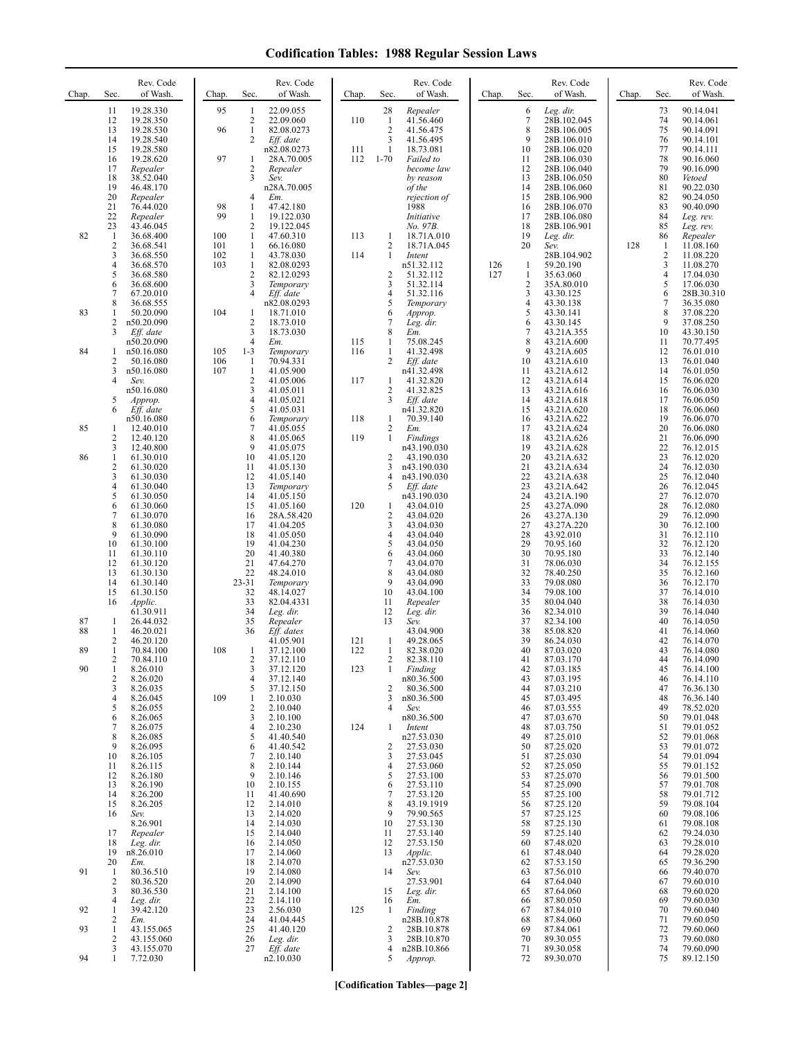| Chap.          | Sec.                                                                                     | Rev. Code<br>of Wash.                                                                                                                                               | Chap.                                | Sec.                                                                                                                                 | Rev. Code<br>of Wash.                                                                                                                                                   | Chap.             | Sec.                                                                  | Rev. Code<br>of Wash.                                                                                                                                                         | Chap.      | Sec.                                                                             | Rev. Code<br>of Wash.                                                                                                                                                              | Chap. | Sec.                                                                             | Rev. Code<br>of Wash.                                                                                                                                                              |
|----------------|------------------------------------------------------------------------------------------|---------------------------------------------------------------------------------------------------------------------------------------------------------------------|--------------------------------------|--------------------------------------------------------------------------------------------------------------------------------------|-------------------------------------------------------------------------------------------------------------------------------------------------------------------------|-------------------|-----------------------------------------------------------------------|-------------------------------------------------------------------------------------------------------------------------------------------------------------------------------|------------|----------------------------------------------------------------------------------|------------------------------------------------------------------------------------------------------------------------------------------------------------------------------------|-------|----------------------------------------------------------------------------------|------------------------------------------------------------------------------------------------------------------------------------------------------------------------------------|
|                | 11<br>12<br>13<br>14<br>15<br>16<br>17<br>18<br>19                                       | 19.28.330<br>19.28.350<br>19.28.530<br>19.28.540<br>19.28.580<br>19.28.620<br>Repealer<br>38.52.040<br>46.48.170                                                    | 95<br>96<br>97                       | -1<br>$\overline{c}$<br>$\mathbf{1}$<br>$\overline{2}$<br>-1<br>$\sqrt{2}$<br>3                                                      | 22.09.055<br>22.09.060<br>82.08.0273<br>Eff. date<br>n82.08.0273<br>28A.70.005<br>Repealer<br>Sev.<br>n28A.70.005                                                       | 110<br>111<br>112 | 28<br>$\mathbf{1}$<br>$\overline{2}$<br>3<br>$\mathbf{1}$<br>$1 - 70$ | Repealer<br>41.56.460<br>41.56.475<br>41.56.495<br>18.73.081<br>Failed to<br>become law<br>by reason<br>of the                                                                |            | 6<br>7<br>8<br>9<br>10<br>11<br>12<br>13<br>14                                   | Leg. dir.<br>28B.102.045<br>28B.106.005<br>28B.106.010<br>28B.106.020<br>28B.106.030<br>28B.106.040<br>28B.106.050<br>28B.106.060                                                  |       | 73<br>74<br>75<br>76<br>77<br>78<br>79<br>80<br>81                               | 90.14.041<br>90.14.061<br>90.14.091<br>90.14.101<br>90.14.111<br>90.16.060<br>90.16.090<br>Vetoed<br>90.22.030                                                                     |
| 82             | 20<br>21<br>22<br>23<br>$\mathbf{1}$<br>$\overline{\mathbf{c}}$<br>3<br>4<br>5<br>6<br>7 | Repealer<br>76.44.020<br>Repealer<br>43.46.045<br>36.68.400<br>36.68.541<br>36.68.550<br>36.68.570<br>36.68.580<br>36.68.600<br>67.20.010                           | 98<br>99<br>100<br>101<br>102<br>103 | $\overline{4}$<br>1<br>1<br>$\overline{2}$<br>1<br>1<br>$\mathbf{1}$<br>1<br>$\sqrt{2}$<br>$\overline{\mathbf{3}}$<br>$\overline{4}$ | Em.<br>47.42.180<br>19.122.030<br>19.122.045<br>47.60.310<br>66.16.080<br>43.78.030<br>82.08.0293<br>82.12.0293<br>Temporary<br>Eff. date                               | 113<br>114        | $\mathbf{1}$<br>2<br>$\mathbf{1}$<br>2<br>3<br>4                      | rejection of<br>1988<br>Initiative<br>No. 97B.<br>18.71A.010<br>18.71A.045<br>Intent<br>n51.32.112<br>51.32.112<br>51.32.114<br>51.32.116                                     | 126<br>127 | 15<br>16<br>17<br>18<br>19<br>20<br>$\mathbf{1}$<br>1<br>$\overline{c}$<br>3     | 28B.106.900<br>28B.106.070<br>28B.106.080<br>28B.106.901<br>Leg. dir.<br>Sev.<br>28B.104.902<br>59.20.190<br>35.63.060<br>35A.80.010<br>43.30.125                                  | 128   | 82<br>83<br>84<br>85<br>86<br>1<br>2<br>3<br>4<br>5<br>6                         | 90.24.050<br>90.40.090<br>Leg. rev.<br>Leg. rev.<br>Repealer<br>11.08.160<br>11.08.220<br>11.08.270<br>17.04.030<br>17.06.030<br>28B.30.310                                        |
| 83             | 8<br>1<br>2<br>3                                                                         | 36.68.555<br>50.20.090<br>n50.20.090<br>Eff. date                                                                                                                   | 104                                  | 1<br>$\overline{2}$<br>3                                                                                                             | n82.08.0293<br>18.71.010<br>18.73.010<br>18.73.030                                                                                                                      |                   | 5<br>6<br>7<br>8                                                      | Temporary<br>Approp.<br>Leg. dir.<br>Em.                                                                                                                                      |            | $\overline{4}$<br>5<br>6<br>7                                                    | 43.30.138<br>43.30.141<br>43.30.145<br>43.21A.355                                                                                                                                  |       | 7<br>8<br>9<br>10                                                                | 36.35.080<br>37.08.220<br>37.08.250<br>43.30.150                                                                                                                                   |
| 84             | 1<br>2<br>3<br>4<br>5                                                                    | n50.20.090<br>n50.16.080<br>50.16.080<br>n50.16.080<br>Sev.<br>n50.16.080<br>Approp.                                                                                | 105<br>106<br>107                    | $\overline{4}$<br>$1 - 3$<br>-1<br>$\mathbf{1}$<br>$\sqrt{2}$<br>3<br>$\overline{4}$                                                 | Em.<br>Temporary<br>70.94.331<br>41.05.900<br>41.05.006<br>41.05.011<br>41.05.021                                                                                       | 115<br>116<br>117 | 1<br>1<br>2<br>$\mathbf{1}$<br>2<br>3                                 | 75.08.245<br>41.32.498<br>Eff. date<br>n41.32.498<br>41.32.820<br>41.32.825<br>Eff. date                                                                                      |            | 8<br>9<br>10<br>11<br>12<br>13<br>14                                             | 43.21A.600<br>43.21A.605<br>43.21A.610<br>43.21A.612<br>43.21A.614<br>43.21A.616<br>43.21A.618                                                                                     |       | 11<br>12<br>13<br>14<br>15<br>16<br>17                                           | 70.77.495<br>76.01.010<br>76.01.040<br>76.01.050<br>76.06.020<br>76.06.030<br>76.06.050                                                                                            |
|                | 6                                                                                        | Eff. date<br>n50.16.080                                                                                                                                             |                                      | 5<br>6                                                                                                                               | 41.05.031<br>Temporary                                                                                                                                                  | 118               | $\mathbf{1}$                                                          | n41.32.820<br>70.39.140                                                                                                                                                       |            | 15<br>16                                                                         | 43.21A.620<br>43.21A.622                                                                                                                                                           |       | 18<br>19                                                                         | 76.06.060<br>76.06.070                                                                                                                                                             |
| 85             | 1<br>2                                                                                   | 12.40.010<br>12.40.120                                                                                                                                              |                                      | 7<br>8                                                                                                                               | 41.05.055<br>41.05.065                                                                                                                                                  | 119               | 2<br>-1                                                               | Em.<br>Findings                                                                                                                                                               |            | 17<br>18                                                                         | 43.21A.624<br>43.21A.626                                                                                                                                                           |       | 20<br>21                                                                         | 76.06.080<br>76.06.090                                                                                                                                                             |
| 86             | 3<br>1<br>$\overline{c}$<br>3<br>4                                                       | 12.40.800<br>61.30.010<br>61.30.020<br>61.30.030<br>61.30.040                                                                                                       |                                      | 9<br>10<br>11<br>12<br>13                                                                                                            | 41.05.075<br>41.05.120<br>41.05.130<br>41.05.140<br>Temporary                                                                                                           |                   | 2<br>3<br>4<br>5                                                      | n43.190.030<br>43.190.030<br>n43.190.030<br>n43.190.030<br>Eff. date                                                                                                          |            | 19<br>20<br>21<br>22<br>23                                                       | 43.21A.628<br>43.21A.632<br>43.21A.634<br>43.21A.638<br>43.21A.642                                                                                                                 |       | 22<br>23<br>24<br>25<br>26                                                       | 76.12.015<br>76.12.020<br>76.12.030<br>76.12.040<br>76.12.045                                                                                                                      |
|                | 5<br>6<br>7<br>8<br>9<br>10<br>11<br>12<br>13<br>14<br>15<br>16                          | 61.30.050<br>61.30.060<br>61.30.070<br>61.30.080<br>61.30.090<br>61.30.100<br>61.30.110<br>61.30.120<br>61.30.130<br>61.30.140<br>61.30.150<br>Applic.<br>61.30.911 |                                      | 14<br>15<br>16<br>17<br>18<br>19<br>20<br>21<br>22<br>23-31<br>32<br>33<br>34                                                        | 41.05.150<br>41.05.160<br>28A.58.420<br>41.04.205<br>41.05.050<br>41.04.230<br>41.40.380<br>47.64.270<br>48.24.010<br>Temporary<br>48.14.027<br>82.04.4331<br>Leg. dir. | 120               | 1<br>2<br>3<br>4<br>5<br>6<br>7<br>8<br>9<br>10<br>11<br>12           | n43.190.030<br>43.04.010<br>43.04.020<br>43.04.030<br>43.04.040<br>43.04.050<br>43.04.060<br>43.04.070<br>43.04.080<br>43.04.090<br>43.04.100<br>Repealer<br>Leg. dir.        |            | 24<br>25<br>26<br>27<br>28<br>29<br>30<br>31<br>32<br>33<br>34<br>35<br>36       | 43.21A.190<br>43.27A.090<br>43.27A.130<br>43.27A.220<br>43.92.010<br>70.95.160<br>70.95.180<br>78.06.030<br>78.40.250<br>79.08.080<br>79.08.100<br>80.04.040<br>82.34.010          |       | 27<br>28<br>29<br>30<br>31<br>32<br>33<br>34<br>35<br>36<br>37<br>38<br>39       | 76.12.070<br>76.12.080<br>76.12.090<br>76.12.100<br>76.12.110<br>76.12.120<br>76.12.140<br>76.12.155<br>76.12.160<br>76.12.170<br>76.14.010<br>76.14.030<br>76.14.040              |
| 87<br>88       | $\mathbf{1}$<br>$\mathbf{1}$                                                             | 26.44.032<br>46.20.021                                                                                                                                              |                                      | 35<br>36                                                                                                                             | Repealer<br>Eff. dates                                                                                                                                                  |                   | 13                                                                    | Sev.<br>43.04.900                                                                                                                                                             |            | 37<br>38                                                                         | 82.34.100<br>85.08.820                                                                                                                                                             |       | 40<br>41                                                                         | 76.14.050<br>76.14.060                                                                                                                                                             |
| 89<br>90       | $\overline{c}$<br>1<br>2<br>$\mathbf{1}$<br>2<br>3<br>4                                  | 46.20.120<br>70.84.100<br>70.84.110<br>8.26.010<br>8.26.020<br>8.26.035<br>8.26.045                                                                                 | 108<br>109                           | 1<br>2<br>3<br>$\overline{4}$<br>5<br>1                                                                                              | 41.05.901<br>37.12.100<br>37.12.110<br>37.12.120<br>37.12.140<br>37.12.150<br>2.10.030                                                                                  | 121<br>122<br>123 | $\mathbf{1}$<br>1<br>2<br>$\mathbf{1}$<br>2<br>3                      | 49.28.065<br>82.38.020<br>82.38.110<br>Finding<br>n80.36.500<br>80.36.500<br>n80.36.500                                                                                       |            | 39<br>40<br>41<br>42<br>43<br>44<br>45                                           | 86.24.030<br>87.03.020<br>87.03.170<br>87.03.185<br>87.03.195<br>87.03.210<br>87.03.495                                                                                            |       | 42<br>43<br>44<br>45<br>46<br>47<br>48                                           | 76.14.070<br>76.14.080<br>76.14.090<br>76.14.100<br>76.14.110<br>76.36.130<br>76.36.140                                                                                            |
|                | 5<br>6<br>7<br>8<br>9<br>10<br>11<br>12<br>13<br>14<br>15<br>16<br>17                    | 8.26.055<br>8.26.065<br>8.26.075<br>8.26.085<br>8.26.095<br>8.26.105<br>8.26.115<br>8.26.180<br>8.26.190<br>8.26.200<br>8.26.205<br>Sev.<br>8.26.901<br>Repealer    |                                      | $\overline{2}$<br>3<br>$\overline{4}$<br>5<br>6<br>$\overline{7}$<br>8<br>9<br>10<br>11<br>12<br>13<br>14<br>15                      | 2.10.040<br>2.10.100<br>2.10.230<br>41.40.540<br>41.40.542<br>2.10.140<br>2.10.144<br>2.10.146<br>2.10.155<br>41.40.690<br>2.14.010<br>2.14.020<br>2.14.030<br>2.14.040 | 124               | 4<br>-1<br>2<br>3<br>4<br>5<br>6<br>7<br>8<br>9<br>10<br>11           | Sev.<br>n80.36.500<br>Intent<br>n27.53.030<br>27.53.030<br>27.53.045<br>27.53.060<br>27.53.100<br>27.53.110<br>27.53.120<br>43.19.1919<br>79.90.565<br>27.53.130<br>27.53.140 |            | 46<br>47<br>48<br>49<br>50<br>51<br>52<br>53<br>54<br>55<br>56<br>57<br>58<br>59 | 87.03.555<br>87.03.670<br>87.03.750<br>87.25.010<br>87.25.020<br>87.25.030<br>87.25.050<br>87.25.070<br>87.25.090<br>87.25.100<br>87.25.120<br>87.25.125<br>87.25.130<br>87.25.140 |       | 49<br>50<br>51<br>52<br>53<br>54<br>55<br>56<br>57<br>58<br>59<br>60<br>61<br>62 | 78.52.020<br>79.01.048<br>79.01.052<br>79.01.068<br>79.01.072<br>79.01.094<br>79.01.152<br>79.01.500<br>79.01.708<br>79.01.712<br>79.08.104<br>79.08.106<br>79.08.108<br>79.24.030 |
| 91<br>92<br>93 | 18<br>19<br>20<br>$\mathbf{1}$<br>2<br>3<br>4<br>1<br>2<br>1<br>$\overline{c}$           | Leg. dir.<br>n8.26.010<br>Em.<br>80.36.510<br>80.36.520<br>80.36.530<br>Leg. dir.<br>39.42.120<br>Em.<br>43.155.065<br>43.155.060                                   |                                      | 16<br>17<br>18<br>19<br>20<br>21<br>22<br>23<br>24<br>25<br>26                                                                       | 2.14.050<br>2.14.060<br>2.14.070<br>2.14.080<br>2.14.090<br>2.14.100<br>2.14.110<br>2.56.030<br>41.04.445<br>41.40.120<br>Leg. dir.                                     | 125               | 12<br>13<br>14<br>15<br>16<br>-1<br>2<br>3                            | 27.53.150<br>Applic.<br>n27.53.030<br>Sev.<br>27.53.901<br>Leg. dir.<br>Em.<br>Finding<br>n28B.10.878<br>28B.10.878<br>28B.10.870                                             |            | 60<br>61<br>62<br>63<br>64<br>65<br>66<br>67<br>68<br>69<br>70                   | 87.48.020<br>87.48.040<br>87.53.150<br>87.56.010<br>87.64.040<br>87.64.060<br>87.80.050<br>87.84.010<br>87.84.060<br>87.84.061<br>89.30.055                                        |       | 63<br>64<br>65<br>66<br>67<br>68<br>69<br>70<br>71<br>72<br>73                   | 79.28.010<br>79.28.020<br>79.36.290<br>79.40.070<br>79.60.010<br>79.60.020<br>79.60.030<br>79.60.040<br>79.60.050<br>79.60.060<br>79.60.080                                        |
| 94             | 3<br>1                                                                                   | 43.155.070<br>7.72.030                                                                                                                                              |                                      | 27                                                                                                                                   | Eff. date<br>n2.10.030                                                                                                                                                  |                   | 4<br>5                                                                | n28B.10.866<br>Approp.                                                                                                                                                        |            | 71<br>72                                                                         | 89.30.058<br>89.30.070                                                                                                                                                             |       | 74<br>75                                                                         | 79.60.090<br>89.12.150                                                                                                                                                             |

**[Codification Tables—page 2]**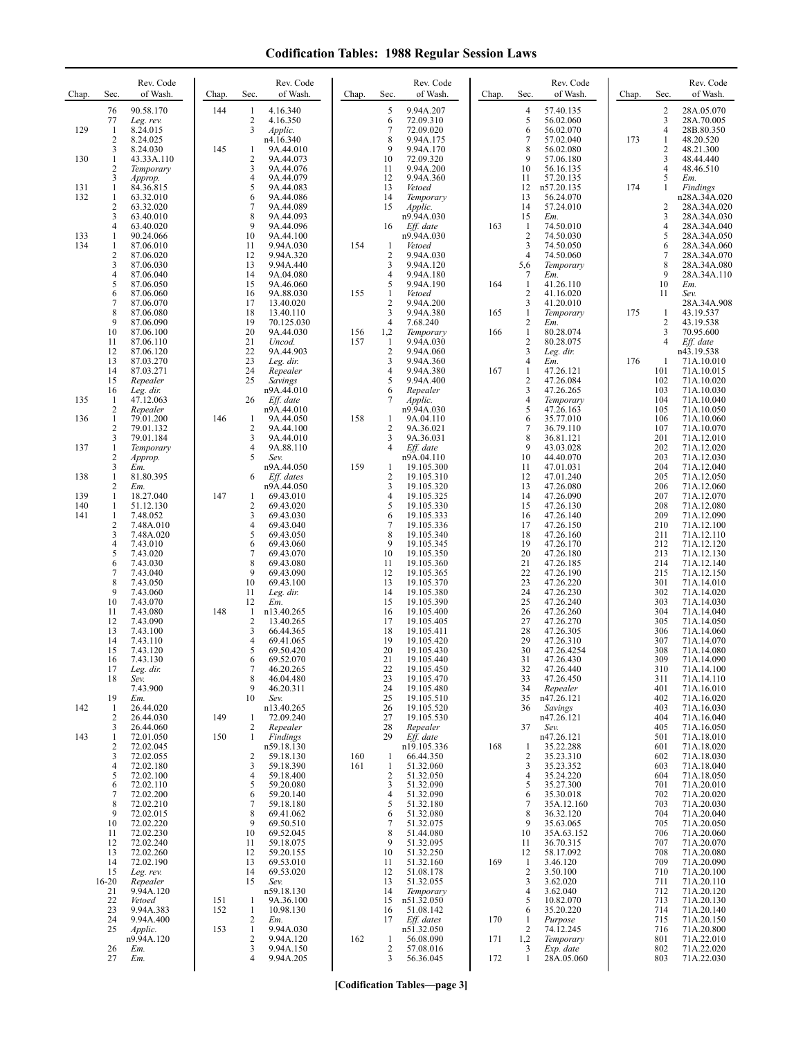| Chap.      | Sec.                           | Rev. Code<br>of Wash.   | Chap. | Sec.                         | Rev. Code<br>of Wash.    | Chap. | Sec.                           | Rev. Code<br>of Wash.    | Chap. | Sec.                                    | Rev. Code<br>of Wash.   | Chap. | Sec.                  | Rev. Code<br>of Wash.      |
|------------|--------------------------------|-------------------------|-------|------------------------------|--------------------------|-------|--------------------------------|--------------------------|-------|-----------------------------------------|-------------------------|-------|-----------------------|----------------------------|
|            | 76<br>77                       | 90.58.170<br>Leg. rev.  | 144   | 1<br>2                       | 4.16.340<br>4.16.350     |       | 5<br>6                         | 9.94A.207<br>72.09.310   |       | 4<br>5                                  | 57.40.135<br>56.02.060  |       | $\overline{c}$<br>3   | 28A.05.070<br>28A.70.005   |
| 129        | $\mathbf{1}$                   | 8.24.015                |       | 3                            | Applic.                  |       | 7                              | 72.09.020                |       | 6                                       | 56.02.070               |       | $\overline{4}$        | 28B.80.350                 |
|            | $\overline{2}$<br>3            | 8.24.025<br>8.24.030    | 145   | 1                            | n4.16.340<br>9A.44.010   |       | 8<br>9                         | 9.94A.175<br>9.94A.170   |       | 7<br>8                                  | 57.02.040<br>56.02.080  | 173   | 1<br>$\boldsymbol{2}$ | 48.20.520<br>48.21.300     |
| 130        | 1<br>$\overline{c}$            | 43.33A.110<br>Temporary |       | $\overline{\mathbf{c}}$<br>3 | 9A.44.073<br>9A.44.076   |       | 10<br>11                       | 72.09.320<br>9.94A.200   |       | 9<br>10                                 | 57.06.180<br>56.16.135  |       | 3<br>$\overline{4}$   | 48.44.440<br>48.46.510     |
|            | 3                              | Approp.                 |       | 4                            | 9A.44.079                |       | 12                             | 9.94A.360                |       | 11                                      | 57.20.135               |       | 5                     | Em.                        |
| 131<br>132 | 1<br>$\mathbf{1}$              | 84.36.815<br>63.32.010  |       | 5<br>6                       | 9A.44.083<br>9A.44.086   |       | 13<br>14                       | Vetoed<br>Temporary      |       | 12<br>13                                | n57.20.135<br>56.24.070 | 174   | 1                     | Findings<br>n28A.34A.020   |
|            | $\overline{2}$<br>3            | 63.32.020<br>63.40.010  |       | 7<br>8                       | 9A.44.089<br>9A.44.093   |       | 15                             | Applic.<br>n9.94A.030    |       | 14<br>15                                | 57.24.010<br>Em.        |       | 2<br>3                | 28A.34A.020<br>28A.34A.030 |
|            | 4                              | 63.40.020               |       | 9                            | 9A.44.096                |       | 16                             | Eff. date                | 163   | $\mathbf{1}$                            | 74.50.010               |       | 4                     | 28A.34A.040                |
| 133<br>134 | 1<br>1                         | 90.24.066<br>87.06.010  |       | 10<br>11                     | 9A.44.100<br>9.94A.030   | 154   | $\mathbf{1}$                   | n9.94A.030<br>Vetoed     |       | $\overline{2}$<br>3                     | 74.50.030<br>74.50.050  |       | 5<br>6                | 28A.34A.050<br>28A.34A.060 |
|            | $\overline{2}$<br>3            | 87.06.020<br>87.06.030  |       | 12<br>13                     | 9.94A.320<br>9.94A.440   |       | $\overline{2}$<br>3            | 9.94A.030<br>9.94A.120   |       | $\overline{4}$<br>5,6                   | 74.50.060<br>Temporary  |       | 7<br>8                | 28A.34A.070<br>28A.34A.080 |
|            | 4<br>5                         | 87.06.040               |       | 14<br>15                     | 9A.04.080                |       | $\overline{4}$<br>5            | 9.94A.180<br>9.94A.190   | 164   | 7<br>$\mathbf{1}$                       | Em.                     |       | 9<br>10               | 28A.34A.110                |
|            | 6                              | 87.06.050<br>87.06.060  |       | 16                           | 9A.46.060<br>9A.88.030   | 155   | $\mathbf{1}$                   | Vetoed                   |       | $\overline{2}$                          | 41.26.110<br>41.16.020  |       | 11                    | Em.<br>Sev.                |
|            | 7<br>8                         | 87.06.070<br>87.06.080  |       | 17<br>18                     | 13.40.020<br>13.40.110   |       | $\overline{2}$<br>3            | 9.94A.200<br>9.94A.380   | 165   | 3<br>$\mathbf{1}$                       | 41.20.010<br>Temporary  | 175   | 1                     | 28A.34A.908<br>43.19.537   |
|            | 9<br>10                        | 87.06.090<br>87.06.100  |       | 19<br>20                     | 70.125.030<br>9A.44.030  | 156   | $\overline{4}$<br>1,2          | 7.68.240                 | 166   | $\overline{\mathbf{c}}$<br>$\mathbf{1}$ | Em.<br>80.28.074        |       | 2<br>3                | 43.19.538<br>70.95.600     |
|            | 11                             | 87.06.110               |       | 21                           | Uncod.                   | 157   | $\mathbf{1}$                   | Temporary<br>9.94A.030   |       | $\overline{c}$                          | 80.28.075               |       | $\overline{4}$        | Eff. date                  |
|            | 12<br>13                       | 87.06.120<br>87.03.270  |       | 22<br>23                     | 9A.44.903<br>Leg. dir.   |       | $\overline{2}$<br>3            | 9.94A.060<br>9.94A.360   |       | 3<br>4                                  | Leg. dir.<br>Em.        | 176   | -1                    | n43.19.538<br>71A.10.010   |
|            | 14<br>15                       | 87.03.271<br>Repealer   |       | 24<br>25                     | Repealer<br>Savings      |       | $\overline{4}$<br>5            | 9.94A.380<br>9.94A.400   | 167   | $\mathbf{1}$<br>2                       | 47.26.121<br>47.26.084  |       | 101<br>102            | 71A.10.015<br>71A.10.020   |
|            | 16                             | Leg. dir.               |       |                              | n9A.44.010               |       | 6                              | Repealer                 |       | 3                                       | 47.26.265               |       | 103                   | 71A.10.030                 |
| 135        | $\mathbf{1}$<br>$\overline{c}$ | 47.12.063<br>Repealer   |       | 26                           | Eff. date<br>n9A.44.010  |       | 7                              | Applic.<br>n9.94A.030    |       | 4<br>5                                  | Temporary<br>47.26.163  |       | 104<br>105            | 71A.10.040<br>71A.10.050   |
| 136        | $\mathbf{1}$<br>$\overline{2}$ | 79.01.200<br>79.01.132  | 146   | 1<br>$\overline{2}$          | 9A.44.050<br>9A.44.100   | 158   | $\mathbf{1}$<br>$\sqrt{2}$     | 9A.04.110<br>9A.36.021   |       | 6<br>7                                  | 35.77.010<br>36.79.110  |       | 106<br>107            | 71A.10.060<br>71A.10.070   |
|            | 3                              | 79.01.184               |       | 3                            | 9A.44.010                |       | 3                              | 9A.36.031                |       | 8                                       | 36.81.121               |       | 201                   | 71A.12.010                 |
| 137        | $\mathbf{1}$<br>$\sqrt{2}$     | Temporary<br>Approp.    |       | $\overline{4}$<br>5          | 9A.88.110<br>Sev.        |       | $\overline{4}$                 | Eff. date<br>n9A.04.110  |       | 9<br>10                                 | 43.03.028<br>44.40.070  |       | 202<br>203            | 71A.12.020<br>71A.12.030   |
| 138        | 3<br>$\mathbf{1}$              | Em.<br>81.80.395        |       | 6                            | n9A.44.050<br>Eff. dates | 159   | 1<br>2                         | 19.105.300<br>19.105.310 |       | 11<br>12                                | 47.01.031<br>47.01.240  |       | 204<br>205            | 71A.12.040<br>71A.12.050   |
| 139        | 2<br>$\mathbf{1}$              | Em.<br>18.27.040        | 147   | 1                            | n9A.44.050<br>69.43.010  |       | 3<br>$\overline{4}$            | 19.105.320<br>19.105.325 |       | 13<br>14                                | 47.26.080<br>47.26.090  |       | 206<br>207            | 71A.12.060<br>71A.12.070   |
| 140        | $\mathbf{1}$                   | 51.12.130               |       | $\overline{\mathbf{c}}$      | 69.43.020                |       | 5                              | 19.105.330               |       | 15                                      | 47.26.130               |       | 208                   | 71A.12.080                 |
| 141        | $\mathbf{1}$<br>$\overline{2}$ | 7.48.052<br>7.48A.010   |       | 3<br>4                       | 69.43.030<br>69.43.040   |       | 6<br>7                         | 19.105.333<br>19.105.336 |       | 16<br>17                                | 47.26.140<br>47.26.150  |       | 209<br>210            | 71A.12.090<br>71A.12.100   |
|            | 3<br>4                         | 7.48A.020<br>7.43.010   |       | 5<br>6                       | 69.43.050<br>69.43.060   |       | 8<br>9                         | 19.105.340<br>19.105.345 |       | 18<br>19                                | 47.26.160<br>47.26.170  |       | 211<br>212            | 71A.12.110<br>71A.12.120   |
|            | 5                              | 7.43.020                |       | $\overline{7}$               | 69.43.070                |       | 10                             | 19.105.350               |       | 20                                      | 47.26.180               |       | 213                   | 71A.12.130                 |
|            | 6<br>7                         | 7.43.030<br>7.43.040    |       | 8<br>9                       | 69.43.080<br>69.43.090   |       | 11<br>12                       | 19.105.360<br>19.105.365 |       | 21<br>22                                | 47.26.185<br>47.26.190  |       | 214<br>215            | 71A.12.140<br>71A.12.150   |
|            | 8<br>9                         | 7.43.050<br>7.43.060    |       | 10<br>11                     | 69.43.100<br>Leg. dir.   |       | 13<br>14                       | 19.105.370<br>19.105.380 |       | 23<br>24                                | 47.26.220<br>47.26.230  |       | 301<br>302            | 71A.14.010<br>71A.14.020   |
|            | 10                             | 7.43.070                |       | 12                           | Em.                      |       | 15                             | 19.105.390               |       | 25                                      | 47.26.240               |       | 303                   | 71A.14.030                 |
|            | 11<br>12                       | 7.43.080<br>7.43.090    | 148   | 1<br>$\overline{c}$          | n13.40.265<br>13.40.265  |       | 16<br>17                       | 19.105.400<br>19.105.405 |       | 26<br>27                                | 47.26.260<br>47.26.270  |       | 304<br>305            | 71A.14.040<br>71A.14.050   |
|            | 13<br>14                       | 7.43.100<br>7.43.110    |       | 3<br>4                       | 66.44.365<br>69.41.065   |       | 18<br>19                       | 19.105.411<br>19.105.420 |       | 28<br>29                                | 47.26.305<br>47.26.310  |       | 306<br>307            | 71A.14.060<br>71A.14.070   |
|            | 15<br>16                       | 7.43.120                |       | 5<br>6                       | 69.50.420<br>69.52.070   |       | 20<br>21                       | 19.105.430<br>19.105.440 |       | 30<br>31                                | 47.26.4254<br>47.26.430 |       | 308<br>309            | 71A.14.080                 |
|            | 17                             | 7.43.130<br>Leg. dir.   |       | 7                            | 46.20.265                |       | 22                             | 19.105.450               |       | 32                                      | 47.26.440               |       | 310                   | 71A.14.090<br>71A.14.100   |
|            | 18                             | Sev.<br>7.43.900        |       | 8<br>9                       | 46.04.480<br>46.20.311   |       | 23<br>24                       | 19.105.470<br>19.105.480 |       | 33<br>34                                | 47.26.450<br>Repealer   |       | 311<br>401            | 71A.14.110<br>71A.16.010   |
| 142        | 19<br>1                        | Em.<br>26.44.020        |       | 10                           | Sev.<br>n13.40.265       |       | 25<br>26                       | 19.105.510<br>19.105.520 |       | 35<br>36                                | n47.26.121<br>Savings   |       | 402<br>403            | 71A.16.020<br>71A.16.030   |
|            | $\overline{2}$                 | 26.44.030               | 149   | 1                            | 72.09.240                |       | 27                             | 19.105.530               |       |                                         | n47.26.121              |       | 404                   | 71A.16.040                 |
| 143        | 3<br>1                         | 26.44.060<br>72.01.050  | 150   | 2<br>1                       | Repealer<br>Findings     |       | 28<br>29                       | Repealer<br>Eff. date    |       | 37                                      | Sev.<br>n47.26.121      |       | 405<br>501            | 71A.16.050<br>71A.18.010   |
|            | $\overline{c}$<br>3            | 72.02.045<br>72.02.055  |       | 2                            | n59.18.130<br>59.18.130  | 160   | -1                             | n19.105.336<br>66.44.350 | 168   | 1<br>$\overline{c}$                     | 35.22.288<br>35.23.310  |       | 601<br>602            | 71A.18.020<br>71A.18.030   |
|            | $\overline{4}$<br>5            | 72.02.180<br>72.02.100  |       | 3<br>4                       | 59.18.390<br>59.18.400   | 161   | $\mathbf{1}$<br>$\overline{c}$ | 51.32.060<br>51.32.050   |       | 3<br>4                                  | 35.23.352<br>35.24.220  |       | 603<br>604            | 71A.18.040<br>71A.18.050   |
|            | 6                              | 72.02.110               |       | 5                            | 59.20.080                |       | 3                              | 51.32.090                |       | 5                                       | 35.27.300               |       | 701                   | 71A.20.010                 |
|            | 7<br>8                         | 72.02.200<br>72.02.210  |       | 6<br>7                       | 59.20.140<br>59.18.180   |       | $\overline{4}$<br>5            | 51.32.090<br>51.32.180   |       | 6<br>7                                  | 35.30.018<br>35A.12.160 |       | 702<br>703            | 71A.20.020<br>71A.20.030   |
|            | 9<br>10                        | 72.02.015<br>72.02.220  |       | 8<br>9                       | 69.41.062<br>69.50.510   |       | 6<br>7                         | 51.32.080<br>51.32.075   |       | 8<br>9                                  | 36.32.120<br>35.63.065  |       | 704<br>705            | 71A.20.040<br>71A.20.050   |
|            | 11                             | 72.02.230               |       | 10                           | 69.52.045                |       | 8                              | 51.44.080                |       | 10                                      | 35A.63.152              |       | 706                   | 71A.20.060                 |
|            | 12<br>13                       | 72.02.240<br>72.02.260  |       | 11<br>12                     | 59.18.075<br>59.20.155   |       | 9<br>10                        | 51.32.095<br>51.32.250   |       | 11<br>12                                | 36.70.315<br>58.17.092  |       | 707<br>708            | 71A.20.070<br>71A.20.080   |
|            | 14<br>15                       | 72.02.190<br>Leg. rev.  |       | 13<br>14                     | 69.53.010<br>69.53.020   |       | 11<br>12                       | 51.32.160<br>51.08.178   | 169   | -1<br>$\overline{\mathbf{c}}$           | 3.46.120<br>3.50.100    |       | 709<br>710            | 71A.20.090<br>71A.20.100   |
|            | $16-20$                        | Repealer                |       | 15                           | Sev.                     |       | 13<br>14                       | 51.32.055                |       | 3                                       | 3.62.020                |       | 711                   | 71A.20.110                 |
|            | 21<br>22                       | 9.94A.120<br>Vetoed     | 151   | 1                            | n59.18.130<br>9A.36.100  |       | 15                             | Temporary<br>n51.32.050  |       | 4<br>5                                  | 3.62.040<br>10.82.070   |       | 712<br>713            | 71A.20.120<br>71A.20.130   |
|            | 23<br>24                       | 9.94A.383<br>9.94A.400  | 152   | 1<br>$\overline{c}$          | 10.98.130<br>Em.         |       | 16<br>17                       | 51.08.142<br>Eff. dates  | 170   | 6<br>1                                  | 35.20.220<br>Purpose    |       | 714<br>715            | 71A.20.140<br>71A.20.150   |
|            | 25                             | Applic.<br>n9.94A.120   | 153   | 1<br>$\overline{c}$          | 9.94A.030<br>9.94A.120   | 162   | $\mathbf{1}$                   | n51.32.050<br>56.08.090  | 171   | 2<br>1,2                                | 74.12.245<br>Temporary  |       | 716<br>801            | 71A.20.800<br>71A.22.010   |
|            | 26                             | Em.                     |       | 3                            | 9.94A.150                |       | $\sqrt{2}$                     | 57.08.016                |       | 3                                       | Exp. date               |       | 802                   | 71A.22.020                 |
|            | 27                             | Em.                     |       | 4                            | 9.94A.205                |       | 3                              | 56.36.045                | 172   | 1                                       | 28A.05.060              |       | 803                   | 71A.22.030                 |

**[Codification Tables—page 3]**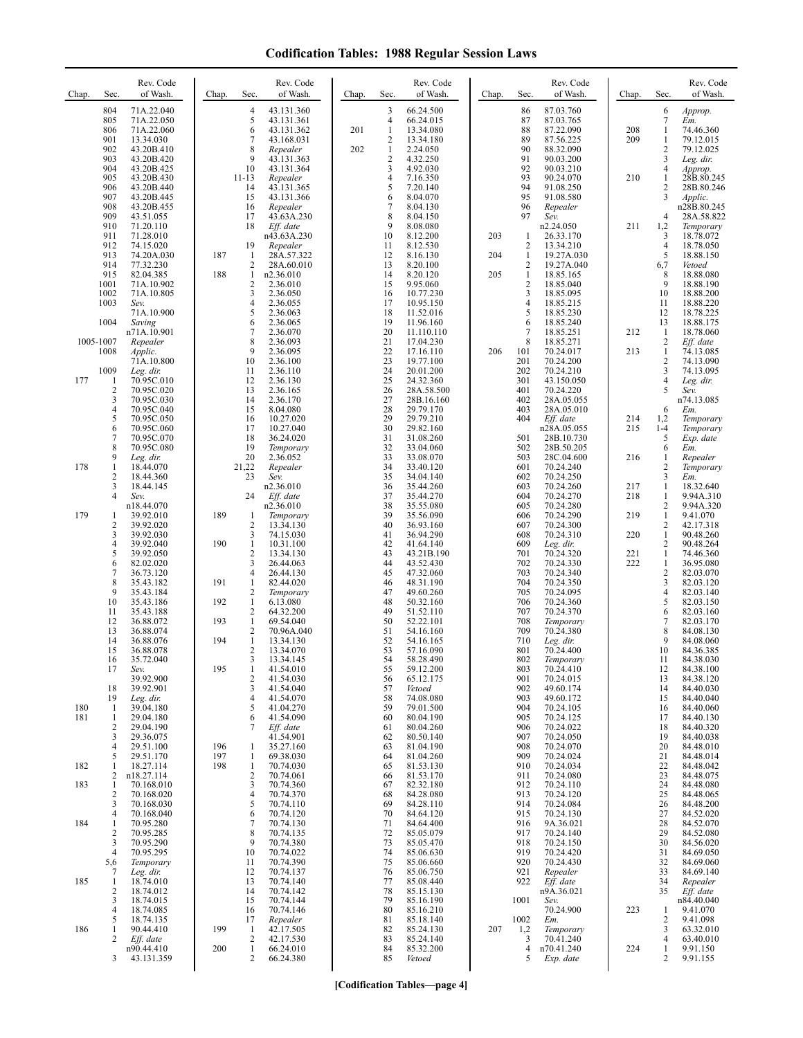| Chap.<br>Sec.                                                             | Rev. Code<br>of Wash.                                                            | Chap.<br>Sec.                                | Rev. Code<br>of Wash.                                                                                                                | Chap.      | Sec.                             | Rev. Code<br>of Wash.                                                        | Chap.      | Sec.                                                            | Rev. Code<br>of Wash.                                                         | Chap.             | Sec.                                                                | Rev. Code<br>of Wash.                                                      |
|---------------------------------------------------------------------------|----------------------------------------------------------------------------------|----------------------------------------------|--------------------------------------------------------------------------------------------------------------------------------------|------------|----------------------------------|------------------------------------------------------------------------------|------------|-----------------------------------------------------------------|-------------------------------------------------------------------------------|-------------------|---------------------------------------------------------------------|----------------------------------------------------------------------------|
| 804<br>805<br>806<br>901<br>902                                           | 71A.22.040<br>71A.22.050<br>71A.22.060<br>13.34.030<br>43.20B.410                |                                              | 4<br>43.131.360<br>5<br>43.131.361<br>6<br>43.131.362<br>7<br>43.168.031<br>8<br>Repealer                                            | 201<br>202 | 3<br>4<br>1<br>2<br>$\mathbf{1}$ | 66.24.500<br>66.24.015<br>13.34.080<br>13.34.180<br>2.24.050                 |            | 86<br>87<br>88<br>89<br>90                                      | 87.03.760<br>87.03.765<br>87.22.090<br>87.56.225<br>88.32.090                 | 208<br>209        | 6<br>7<br>1<br>1<br>2                                               | Approp.<br>Em.<br>74.46.360<br>79.12.015<br>79.12.025                      |
| 903<br>904<br>905<br>906<br>907<br>908                                    | 43.20B.420<br>43.20B.425<br>43.20B.430<br>43.20B.440<br>43.20B.445<br>43.20B.455 | 10<br>$11 - 13$<br>14<br>15<br>16            | 9<br>43.131.363<br>43.131.364<br>Repealer<br>43.131.365<br>43.131.366<br>Repealer                                                    |            | 2<br>3<br>4<br>5<br>6<br>7       | 4.32.250<br>4.92.030<br>7.16.350<br>7.20.140<br>8.04.070<br>8.04.130         |            | 91<br>92<br>93<br>94<br>95<br>96                                | 90.03.200<br>90.03.210<br>90.24.070<br>91.08.250<br>91.08.580<br>Repealer     | 210               | 3<br>4<br>1<br>$\overline{c}$<br>3                                  | Leg. dir.<br>Approp.<br>28B.80.245<br>28B.80.246<br>Applic.<br>n28B.80.245 |
| 909<br>910<br>911<br>912<br>913                                           | 43.51.055<br>71.20.110<br>71.28.010<br>74.15.020<br>74.20A.030                   | 17<br>18<br>19<br>187<br>$\mathbf{1}$        | 43.63A.230<br>Eff. date<br>n43.63A.230<br>Repealer<br>28A.57.322                                                                     |            | 8<br>9<br>10<br>11<br>12         | 8.04.150<br>8.08.080<br>8.12.200<br>8.12.530<br>8.16.130                     | 203<br>204 | 97<br>1<br>$\overline{c}$<br>$\mathbf{1}$                       | Sev.<br>n2.24.050<br>26.33.170<br>13.34.210<br>19.27A.030                     | 211               | $\overline{4}$<br>1,2<br>3<br>4<br>5                                | 28A.58.822<br>Temporary<br>18.78.072<br>18.78.050<br>18.88.150             |
| 914<br>915<br>1001<br>1002<br>1003                                        | 77.32.230<br>82.04.385<br>71A.10.902<br>71A.10.805<br>Sev.<br>71A.10.900         | 188                                          | 2<br>28A.60.010<br>$\mathbf{1}$<br>n2.36.010<br>2<br>2.36.010<br>3<br>2.36.050<br>4<br>2.36.055<br>5<br>2.36.063                     |            | 13<br>14<br>15<br>16<br>17<br>18 | 8.20.100<br>8.20.120<br>9.95.060<br>10.77.230<br>10.95.150<br>11.52.016      | 205        | 2<br>$\mathbf{1}$<br>$\overline{2}$<br>3<br>$\overline{4}$<br>5 | 19.27A.040<br>18.85.165<br>18.85.040<br>18.85.095<br>18.85.215<br>18.85.230   |                   | 6,7<br>8<br>9<br>10<br>11<br>12                                     | Vetoed<br>18.88.080<br>18.88.190<br>18.88.200<br>18.88.220<br>18.78.225    |
| 1004<br>1005-1007<br>1008                                                 | Saving<br>n71A.10.901<br>Repealer<br>Applic.<br>71A.10.800                       | 10                                           | 6<br>2.36.065<br>7<br>2.36.070<br>8<br>2.36.093<br>9<br>2.36.095<br>2.36.100                                                         |            | 19<br>20<br>21<br>22<br>23       | 11.96.160<br>11.110.110<br>17.04.230<br>17.16.110<br>19.77.100               | 206        | 6<br>$\overline{7}$<br>8<br>101<br>201                          | 18.85.240<br>18.85.251<br>18.85.271<br>70.24.017<br>70.24.200                 | 212<br>213        | 13<br>$\mathbf{1}$<br>$\mathbf{2}$<br>$\mathbf{1}$<br>2             | 18.88.175<br>18.78.060<br>Eff. date<br>74.13.085<br>74.13.090              |
| 1009<br>177<br>$\mathbf{1}$<br>$\overline{c}$<br>3<br>$\overline{4}$<br>5 | Leg. dir.<br>70.95C.010<br>70.95C.020<br>70.95C.030<br>70.95C.040<br>70.95C.050  | 11<br>12<br>13<br>14<br>15<br>16             | 2.36.110<br>2.36.130<br>2.36.165<br>2.36.170<br>8.04.080<br>10.27.020                                                                |            | 24<br>25<br>26<br>27<br>28<br>29 | 20.01.200<br>24.32.360<br>28A.58.500<br>28B.16.160<br>29.79.170<br>29.79.210 |            | 202<br>301<br>401<br>402<br>403<br>404                          | 70.24.210<br>43.150.050<br>70.24.220<br>28A.05.055<br>28A.05.010<br>Eff. date | 214               | 3<br>4<br>5<br>6<br>1,2                                             | 74.13.095<br>Leg. dir.<br>Sev.<br>n74.13.085<br>Em.<br>Temporary           |
| 6<br>7<br>8<br>9<br>$\mathbf{1}$<br>178                                   | 70.95C.060<br>70.95C.070<br>70.95C.080<br>Leg. dir.<br>18.44.070                 | 17<br>18<br>19<br>20<br>21,22                | 10.27.040<br>36.24.020<br>Temporary<br>2.36.052<br>Repealer                                                                          |            | 30<br>31<br>32<br>33<br>34       | 29.82.160<br>31.08.260<br>33.04.060<br>33.08.070<br>33.40.120                |            | 501<br>502<br>503<br>601                                        | n28A.05.055<br>28B.10.730<br>28B.50.205<br>28C.04.600<br>70.24.240            | 215<br>216        | $1 - 4$<br>5<br>6<br>1<br>2                                         | Temporary<br>Exp. date<br>Em.<br>Repealer<br>Temporary                     |
| 2<br>3<br>$\overline{4}$<br>179<br>1<br>$\overline{2}$                    | 18.44.360<br>18.44.145<br>Sev.<br>n18.44.070<br>39.92.010<br>39.92.020           | 23<br>24<br>189<br>1                         | Sev.<br>n2.36.010<br>Eff. date<br>n2.36.010<br>Temporary<br>2<br>13.34.130                                                           |            | 35<br>36<br>37<br>38<br>39<br>40 | 34.04.140<br>35.44.260<br>35.44.270<br>35.55.080<br>35.56.090<br>36.93.160   |            | 602<br>603<br>604<br>605<br>606<br>607                          | 70.24.250<br>70.24.260<br>70.24.270<br>70.24.280<br>70.24.290<br>70.24.300    | 217<br>218<br>219 | 3<br>$\mathbf{1}$<br>1<br>2<br>$\mathbf{1}$<br>2                    | Em.<br>18.32.640<br>9.94A.310<br>9.94A.320<br>9.41.070<br>42.17.318        |
| 3<br>$\overline{4}$<br>5<br>6<br>$\overline{7}$                           | 39.92.030<br>39.92.040<br>39.92.050<br>82.02.020<br>36.73.120                    | 190                                          | 3<br>74.15.030<br>10.31.100<br>1<br>$\overline{c}$<br>13.34.130<br>3<br>26.44.063<br>4<br>26.44.130                                  |            | 41<br>42<br>43<br>44<br>45       | 36.94.290<br>41.64.140<br>43.21B.190<br>43.52.430<br>47.32.060               |            | 608<br>609<br>701<br>702<br>703                                 | 70.24.310<br>Leg. dir.<br>70.24.320<br>70.24.330<br>70.24.340                 | 220<br>221<br>222 | $\mathbf{1}$<br>2<br>$\mathbf{1}$<br>$\mathbf{1}$<br>$\overline{c}$ | 90.48.260<br>90.48.264<br>74.46.360<br>36.95.080<br>82.03.070              |
| 8<br>9<br>10<br>11<br>12                                                  | 35.43.182<br>35.43.184<br>35.43.186<br>35.43.188<br>36.88.072                    | 191<br>192<br>193                            | $\mathbf{1}$<br>82.44.020<br>2<br>Temporary<br>$\mathbf{1}$<br>6.13.080<br>2<br>64.32.200<br>$\mathbf{1}$<br>69.54.040               |            | 46<br>47<br>48<br>49<br>50       | 48.31.190<br>49.60.260<br>50.32.160<br>51.52.110<br>52.22.101                |            | 704<br>705<br>706<br>707<br>708                                 | 70.24.350<br>70.24.095<br>70.24.360<br>70.24.370<br>Temporary                 |                   | 3<br>4<br>5<br>6<br>7                                               | 82.03.120<br>82.03.140<br>82.03.150<br>82.03.160<br>82.03.170              |
| 13<br>14<br>15<br>16<br>17                                                | 36.88.074<br>36.88.076<br>36.88.078<br>35.72.040<br>Sev.<br>39.92.900            | 194<br>195                                   | 2<br>70.96A.040<br>$\mathbf{1}$<br>13.34.130<br>2<br>13.34.070<br>3<br>13.34.145<br>$\mathbf{1}$<br>41.54.010<br>2<br>41.54.030      |            | 51<br>52<br>53<br>54<br>55<br>56 | 54.16.160<br>54.16.165<br>57.16.090<br>58.28.490<br>59.12.200<br>65.12.175   |            | 709<br>710<br>801<br>802<br>803<br>901                          | 70.24.380<br>Leg. dir.<br>70.24.400<br>Temporary<br>70.24.410<br>70.24.015    |                   | 8<br>9<br>10<br>11<br>12<br>13                                      | 84.08.130<br>84.08.060<br>84.36.385<br>84.38.030<br>84.38.100<br>84.38.120 |
| 18<br>19<br>180<br>1<br>181<br>1<br>$\overline{\mathbf{c}}$               | 39.92.901<br>Leg. dir.<br>39.04.180<br>29.04.180<br>29.04.190                    |                                              | 3<br>41.54.040<br>4<br>41.54.070<br>5<br>41.04.270<br>41.54.090<br>6<br>Eff. date<br>7                                               |            | 57<br>58<br>59<br>60<br>61       | Vetoed<br>74.08.080<br>79.01.500<br>80.04.190<br>80.04.260                   |            | 902<br>903<br>904<br>905<br>906                                 | 49.60.174<br>49.60.172<br>70.24.105<br>70.24.125<br>70.24.022                 |                   | 14<br>15<br>16<br>17<br>18                                          | 84.40.030<br>84.40.040<br>84.40.060<br>84.40.130<br>84.40.320              |
| 3<br>4<br>5<br>182<br>1<br>2<br>183<br>1                                  | 29.36.075<br>29.51.100<br>29.51.170<br>18.27.114<br>n18.27.114<br>70.168.010     | 196<br>197<br>198                            | 41.54.901<br>35.27.160<br>1<br>$\mathbf{1}$<br>69.38.030<br>$\mathbf{1}$<br>70.74.030<br>$\mathbf{2}$<br>70.74.061<br>3<br>70.74.360 |            | 62<br>63<br>64<br>65<br>66<br>67 | 80.50.140<br>81.04.190<br>81.04.260<br>81.53.130<br>81.53.170<br>82.32.180   |            | 907<br>908<br>909<br>910<br>911<br>912                          | 70.24.050<br>70.24.070<br>70.24.024<br>70.24.034<br>70.24.080<br>70.24.110    |                   | 19<br>20<br>21<br>22<br>23<br>24                                    | 84.40.038<br>84.48.010<br>84.48.014<br>84.48.042<br>84.48.075<br>84.48.080 |
| $\overline{2}$<br>3<br>$\overline{4}$<br>184<br>1<br>$\overline{2}$<br>3  | 70.168.020<br>70.168.030<br>70.168.040<br>70.95.280<br>70.95.285<br>70.95.290    |                                              | $\overline{4}$<br>70.74.370<br>5<br>70.74.110<br>6<br>70.74.120<br>7<br>70.74.130<br>8<br>70.74.135<br>9<br>70.74.380                |            | 68<br>69<br>70<br>71<br>72<br>73 | 84.28.080<br>84.28.110<br>84.64.120<br>84.64.400<br>85.05.079<br>85.05.470   |            | 913<br>914<br>915<br>916<br>917<br>918                          | 70.24.120<br>70.24.084<br>70.24.130<br>9A.36.021<br>70.24.140<br>70.24.150    |                   | 25<br>26<br>27<br>28<br>29<br>30                                    | 84.48.065<br>84.48.200<br>84.52.020<br>84.52.070<br>84.52.080<br>84.56.020 |
| 4<br>5,6<br>7<br>185<br>1<br>2                                            | 70.95.295<br>Temporary<br>Leg. dir.<br>18.74.010<br>18.74.012                    | 10<br>11<br>12<br>13<br>14                   | 70.74.022<br>70.74.390<br>70.74.137<br>70.74.140<br>70.74.142                                                                        |            | 74<br>75<br>76<br>77<br>78       | 85.06.630<br>85.06.660<br>85.06.750<br>85.08.440<br>85.15.130                |            | 919<br>920<br>921<br>922                                        | 70.24.420<br>70.24.430<br>Repealer<br>Eff. date<br>n9A.36.021                 |                   | 31<br>32<br>33<br>34<br>35                                          | 84.69.050<br>84.69.060<br>84.69.140<br>Repealer<br>Eff. date               |
| 3<br>4<br>5<br>186<br>1<br>2                                              | 18.74.015<br>18.74.085<br>18.74.135<br>90.44.410<br>Eff. date<br>n90.44.410      | 15<br>16<br>17<br>199<br>$\mathbf{1}$<br>200 | 70.74.144<br>70.74.146<br>Repealer<br>42.17.505<br>$\sqrt{2}$<br>42.17.530<br>$\mathbf{1}$<br>66.24.010                              |            | 79<br>80<br>81<br>82<br>83<br>84 | 85.16.190<br>85.16.210<br>85.18.140<br>85.24.130<br>85.24.140<br>85.32.200   | 207        | 1001<br>1002<br>1,2<br>3<br>4                                   | Sev.<br>70.24.900<br>Em.<br>Temporary<br>70.41.240<br>n70.41.240              | 223<br>224        | 1<br>2<br>3<br>4<br>1                                               | n84.40.040<br>9.41.070<br>9.41.098<br>63.32.010<br>63.40.010<br>9.91.150   |
| 3                                                                         | 43.131.359                                                                       |                                              | 2<br>66.24.380                                                                                                                       |            | 85                               | Vetoed                                                                       |            | 5                                                               | Exp. date                                                                     |                   | 2                                                                   | 9.91.155                                                                   |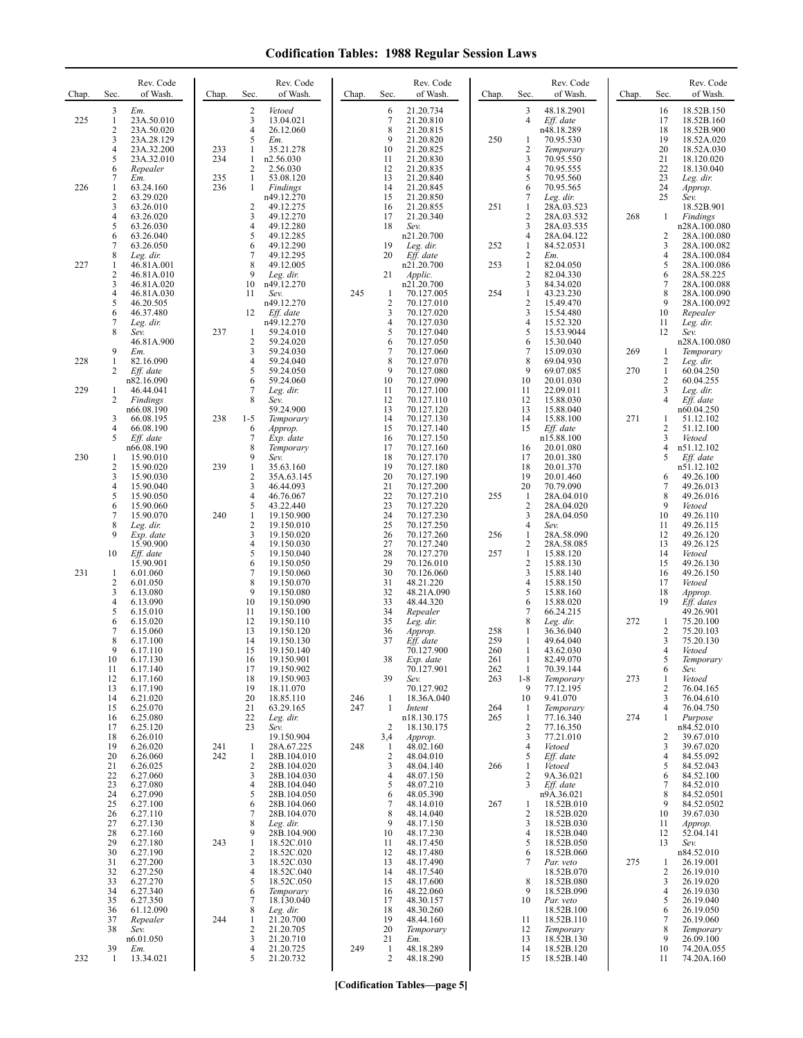| Chap.      | Sec.                                     | Rev. Code<br>of Wash.                                                     | Chap.      | Rev. Code<br>Sec.<br>of Wash.                                                                                | Chap.      | Sec.                                 | Rev. Code<br>of Wash.                                                      | Chap.                    | Sec.                                                            | Rev. Code<br>of Wash.                                                        | Chap. | Sec.                                   | Rev. Code<br>of Wash.                                                            |
|------------|------------------------------------------|---------------------------------------------------------------------------|------------|--------------------------------------------------------------------------------------------------------------|------------|--------------------------------------|----------------------------------------------------------------------------|--------------------------|-----------------------------------------------------------------|------------------------------------------------------------------------------|-------|----------------------------------------|----------------------------------------------------------------------------------|
| 225        | 3<br>$\mathbf{1}$<br>2<br>3<br>4<br>5    | Em.<br>23A.50.010<br>23A.50.020<br>23A.28.129<br>23A.32.200<br>23A.32.010 | 233<br>234 | 2<br>Vetoed<br>3<br>13.04.021<br>$\overline{4}$<br>26.12.060<br>5<br>Em.<br>1<br>35.21.278<br>n2.56.030<br>1 |            | 6<br>7<br>8<br>9<br>10<br>11         | 21.20.734<br>21.20.810<br>21.20.815<br>21.20.820<br>21.20.825<br>21.20.830 | 250                      | 3<br>$\overline{4}$<br>1<br>$\overline{2}$<br>3                 | 48.18.2901<br>Eff. date<br>n48.18.289<br>70.95.530<br>Temporary<br>70.95.550 |       | 16<br>17<br>18<br>19<br>20<br>21       | 18.52B.150<br>18.52B.160<br>18.52B.900<br>18.52A.020<br>18.52A.030<br>18.120.020 |
| 226        | 6<br>7<br>1<br>2<br>3<br>4               | Repealer<br>Em.<br>63.24.160<br>63.29.020<br>63.26.010<br>63.26.020       | 235<br>236 | 2<br>2.56.030<br>1<br>53.08.120<br>Findings<br>1<br>n49.12.270<br>49.12.275<br>2<br>3<br>49.12.270           |            | 12<br>13<br>14<br>15<br>16<br>17     | 21.20.835<br>21.20.840<br>21.20.845<br>21.20.850<br>21.20.855<br>21.20.340 | 251                      | $\overline{4}$<br>5<br>6<br>7<br>$\mathbf{1}$<br>$\overline{c}$ | 70.95.555<br>70.95.560<br>70.95.565<br>Leg. dir.<br>28A.03.523<br>28A.03.532 | 268   | 22<br>23<br>24<br>25<br>1              | 18.130.040<br>Leg. dir.<br>Approp.<br>Sev.<br>18.52B.901<br>Findings             |
|            | 5<br>6<br>7<br>8                         | 63.26.030<br>63.26.040<br>63.26.050<br>Leg. dir.                          |            | 49.12.280<br>4<br>5<br>49.12.285<br>49.12.290<br>6<br>7<br>49.12.295                                         |            | 18<br>19<br>20                       | Sev.<br>n21.20.700<br>Leg. dir.<br>Eff. date                               | 252                      | 3<br>$\overline{4}$<br>1<br>$\overline{2}$                      | 28A.03.535<br>28A.04.122<br>84.52.0531<br>Em.                                |       | 2<br>3<br>4                            | n28A.100.080<br>28A.100.080<br>28A.100.082<br>28A.100.084                        |
| 227        | 1<br>2<br>3<br>4<br>5                    | 46.81A.001<br>46.81A.010<br>46.81A.020<br>46.81A.030<br>46.20.505         |            | 8<br>49.12.005<br>9<br>Leg. dir.<br>10<br>n49.12.270<br>11<br>Sev.<br>n49.12.270                             | 245        | 21<br>$\mathbf{1}$<br>$\overline{2}$ | n21.20.700<br>Applic.<br>n21.20.700<br>70.127.005<br>70.127.010            | 253<br>254               | 1<br>$\overline{2}$<br>3<br>$\mathbf{1}$<br>$\overline{2}$      | 82.04.050<br>82.04.330<br>84.34.020<br>43.23.230<br>15.49.470                |       | 5<br>6<br>7<br>8<br>9                  | 28A.100.086<br>28A.58.225<br>28A.100.088<br>28A.100.090<br>28A.100.092           |
|            | 6<br>7<br>8<br>9                         | 46.37.480<br>Leg. dir.<br>Sev.<br>46.81A.900<br>Em.                       | 237        | 12<br>Eff. date<br>n49.12.270<br>59.24.010<br>1<br>2<br>59.24.020<br>3<br>59.24.030                          |            | 3<br>$\overline{4}$<br>5<br>6<br>7   | 70.127.020<br>70.127.030<br>70.127.040<br>70.127.050<br>70.127.060         |                          | 3<br>$\overline{4}$<br>5<br>6<br>7                              | 15.54.480<br>15.52.320<br>15.53.9044<br>15.30.040<br>15.09.030               | 269   | 10<br>11<br>12<br>1                    | Repealer<br>Leg. dir.<br>Sev.<br>n28A.100.080<br>Temporary                       |
| 228<br>229 | $\mathbf{1}$<br>2<br>1                   | 82.16.090<br>Eff. date<br>n82.16.090<br>46.44.041                         |            | $\overline{4}$<br>59.24.040<br>5<br>59.24.050<br>6<br>59.24.060<br>7<br>Leg. dir.                            |            | 8<br>9<br>10<br>11                   | 70.127.070<br>70.127.080<br>70.127.090<br>70.127.100                       |                          | 8<br>9<br>10<br>11                                              | 69.04.930<br>69.07.085<br>20.01.030<br>22.09.011                             | 270   | 2<br>$\mathbf{1}$<br>$\mathbf{2}$<br>3 | Leg. dir.<br>60.04.250<br>60.04.255                                              |
|            | 2<br>3<br>4                              | Findings<br>n66.08.190<br>66.08.195<br>66.08.190                          | 238        | 8<br>Sev.<br>59.24.900<br>$1 - 5$<br>Temporary<br>6<br>Approp.                                               |            | 12<br>13<br>14<br>15                 | 70.127.110<br>70.127.120<br>70.127.130<br>70.127.140                       |                          | 12<br>13<br>14<br>15                                            | 15.88.030<br>15.88.040<br>15.88.100<br>$Eff.$ date                           | 271   | 4<br>1<br>2                            | Leg. dir.<br>Eff. date<br>n60.04.250<br>51.12.102<br>51.12.100                   |
| 230        | 5<br>1<br>2<br>3                         | Eff. date<br>n66.08.190<br>15.90.010<br>15.90.020<br>15.90.030            | 239        | 7<br>Exp. date<br>8<br>Temporary<br>9<br>Sev.<br>$\mathbf{1}$<br>35.63.160<br>2<br>35A.63.145                |            | 16<br>17<br>18<br>19<br>20           | 70.127.150<br>70.127.160<br>70.127.170<br>70.127.180<br>70.127.190         |                          | 16<br>17<br>18<br>19                                            | n15.88.100<br>20.01.080<br>20.01.380<br>20.01.370<br>20.01.460               |       | 3<br>4<br>5<br>6                       | Vetoed<br>n51.12.102<br>Eff. date<br>n51.12.102<br>49.26.100                     |
|            | 4<br>5<br>6<br>7                         | 15.90.040<br>15.90.050<br>15.90.060<br>15.90.070                          | 240        | 3<br>46.44.093<br>$\overline{4}$<br>46.76.067<br>5<br>43.22.440<br>$\mathbf{1}$<br>19.150.900                |            | 21<br>22<br>23<br>24                 | 70.127.200<br>70.127.210<br>70.127.220<br>70.127.230                       | 255                      | 20<br>$\mathbf{1}$<br>$\overline{c}$<br>3                       | 70.79.090<br>28A.04.010<br>28A.04.020<br>28A.04.050                          |       | 7<br>8<br>9<br>10                      | 49.26.013<br>49.26.016<br>Vetoed<br>49.26.110                                    |
|            | 8<br>9<br>10                             | Leg. dir.<br>Exp. date<br>15.90.900<br>Eff. date<br>15.90.901             |            | 2<br>19.150.010<br>3<br>19.150.020<br>4<br>19.150.030<br>5<br>19.150.040<br>6<br>19.150.050                  |            | 25<br>26<br>27<br>28<br>29           | 70.127.250<br>70.127.260<br>70.127.240<br>70.127.270<br>70.126.010         | 256<br>257               | 4<br>1<br>$\overline{2}$<br>$\mathbf{1}$<br>$\overline{2}$      | Sev.<br>28A.58.090<br>28A.58.085<br>15.88.120<br>15.88.130                   |       | 11<br>12<br>13<br>14<br>15             | 49.26.115<br>49.26.120<br>49.26.125<br>Vetoed<br>49.26.130                       |
| 231        | $\mathbf{1}$<br>$\overline{2}$<br>3<br>4 | 6.01.060<br>6.01.050<br>6.13.080<br>6.13.090                              |            | 7<br>19.150.060<br>8<br>19.150.070<br>9<br>19.150.080<br>10<br>19.150.090                                    |            | 30<br>31<br>32<br>33                 | 70.126.060<br>48.21.220<br>48.21A.090<br>48.44.320                         |                          | 3<br>$\overline{4}$<br>5<br>6                                   | 15.88.140<br>15.88.150<br>15.88.160<br>15.88.020                             |       | 16<br>17<br>18<br>19                   | 49.26.150<br>Vetoed<br>Approp.<br>Eff. dates                                     |
|            | 5<br>6<br>7<br>8<br>9                    | 6.15.010<br>6.15.020<br>6.15.060<br>6.17.100<br>6.17.110                  |            | 11<br>19.150.100<br>12<br>19.150.110<br>13<br>19.150.120<br>14<br>19.150.130<br>15<br>19.150.140             |            | 34<br>35<br>36<br>37<br>38           | Repealer<br>Leg. dir.<br>Approp.<br>Eff. date<br>70.127.900                | 258<br>259<br>260<br>261 | 7<br>8<br>-1<br>1<br>1                                          | 66.24.215<br>Leg. dir.<br>36.36.040<br>49.64.040<br>43.62.030<br>82.49.070   | 272   | 1<br>2<br>3<br>4                       | 49.26.901<br>75.20.100<br>75.20.103<br>75.20.130<br>Vetoed                       |
|            | 10<br>11<br>12<br>13<br>14               | 6.17.130<br>6.17.140<br>6.17.160<br>6.17.190<br>6.21.020                  |            | 16<br>19.150.901<br>17<br>19.150.902<br>18<br>19.150.903<br>19<br>18.11.070<br>20<br>18.85.110               | 246        | 39<br>$\mathbf{1}$                   | Exp. date<br>70.127.901<br>Sev.<br>70.127.902<br>18.36A.040                | 262<br>263               | $\mathbf{1}$<br>$1 - 8$<br>9<br>10                              | 70.39.144<br>Temporary<br>77.12.195<br>9.41.070                              | 273   | 5<br>6<br>1<br>$\overline{c}$<br>3     | Temporary<br>Sev.<br>Vetoed<br>76.04.165<br>76.04.610                            |
|            | 15<br>16<br>17<br>18<br>19               | 6.25.070<br>6.25.080<br>6.25.120<br>6.26.010<br>6.26.020                  | 241        | 21<br>63.29.165<br>22<br>Leg. dir.<br>23<br>Sev.<br>19.150.904<br>28A.67.225<br>1                            | 247<br>248 | 1<br>2<br>3,4<br>$\mathbf{1}$        | Intent<br>n18.130.175<br>18.130.175<br>Approp.<br>48.02.160                | 264<br>265               | 1<br>1<br>$\overline{c}$<br>3<br>4                              | Temporary<br>77.16.340<br>77.16.350<br>77.21.010<br>Vetoed                   | 274   | 4<br>$\mathbf{1}$<br>2<br>3            | 76.04.750<br>Purpose<br>n84.52.010<br>39.67.010<br>39.67.020                     |
|            | 20<br>21<br>22<br>23                     | 6.26.060<br>6.26.025<br>6.27.060<br>6.27.080                              | 242        | 28B.104.010<br>1<br>2<br>28B.104.020<br>3<br>28B.104.030<br>28B.104.040<br>4                                 |            | $\overline{2}$<br>3<br>4<br>5        | 48.04.010<br>48.04.140<br>48.07.150<br>48.07.210                           | 266                      | 5<br>$\mathbf{1}$<br>$\overline{c}$<br>3                        | Eff. date<br>Vetoed<br>9A.36.021<br>Eff. date                                |       | 4<br>5<br>6<br>7                       | 84.55.092<br>84.52.043<br>84.52.100<br>84.52.010                                 |
|            | 24<br>25<br>26<br>27<br>28               | 6.27.090<br>6.27.100<br>6.27.110<br>6.27.130<br>6.27.160                  |            | 5<br>28B.104.050<br>28B.104.060<br>6<br>28B.104.070<br>7<br>8<br>Leg. dir.<br>9<br>28B.104.900               |            | 6<br>7<br>8<br>9<br>10               | 48.05.390<br>48.14.010<br>48.14.040<br>48.17.150<br>48.17.230              | 267                      | 1<br>$\overline{c}$<br>3<br>$\overline{4}$                      | n9A.36.021<br>18.52B.010<br>18.52B.020<br>18.52B.030<br>18.52B.040           |       | 8<br>9<br>10<br>11<br>12               | 84.52.0501<br>84.52.0502<br>39.67.030<br>Approp.<br>52.04.141                    |
|            | 29<br>30<br>31<br>32<br>33               | 6.27.180<br>6.27.190<br>6.27.200<br>6.27.250<br>6.27.270                  | 243        | 1<br>18.52C.010<br>18.52C.020<br>2<br>3<br>18.52C.030<br>$\overline{4}$<br>18.52C.040<br>5<br>18.52C.050     |            | 11<br>12<br>13<br>14<br>15           | 48.17.450<br>48.17.480<br>48.17.490<br>48.17.540<br>48.17.600              |                          | 5<br>6<br>7<br>8                                                | 18.52B.050<br>18.52B.060<br>Par. veto<br>18.52B.070<br>18.52B.080            | 275   | 13<br>1<br>2<br>3                      | Sev.<br>n84.52.010<br>26.19.001<br>26.19.010<br>26.19.020                        |
|            | 34<br>35<br>36<br>37<br>38               | 6.27.340<br>6.27.350<br>61.12.090<br>Repealer<br>Sev.                     | 244        | 6<br>Temporary<br>18.130.040<br>7<br>8<br>Leg. dir.<br>21.20.700<br>1<br>2<br>21.20.705                      |            | 16<br>17<br>18<br>19<br>20           | 48.22.060<br>48.30.157<br>48.30.260<br>48.44.160<br>Temporary              |                          | 9<br>10<br>11<br>12                                             | 18.52B.090<br>Par. veto<br>18.52B.100<br>18.52B.110<br>Temporary             |       | 4<br>5<br>6<br>7<br>8                  | 26.19.030<br>26.19.040<br>26.19.050<br>26.19.060<br>Temporary                    |
| 232        | 39<br>-1                                 | n6.01.050<br>Em.<br>13.34.021                                             |            | 3<br>21.20.710<br>4<br>21.20.725<br>5<br>21.20.732                                                           | 249        | 21<br>$\mathbf{1}$<br>$\sqrt{2}$     | Em.<br>48.18.289<br>48.18.290                                              |                          | 13<br>14<br>15                                                  | 18.52B.130<br>18.52B.120<br>18.52B.140                                       |       | 9<br>10<br>11                          | 26.09.100<br>74.20A.055<br>74.20A.160                                            |